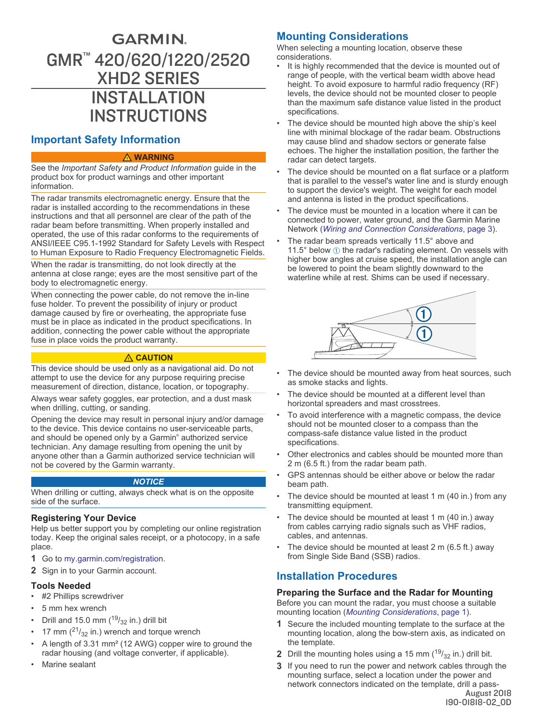# <span id="page-0-0"></span>**GARMIN** GMR™ 420/620/1220/2520 XHD2 SERIES INSTALLATION INSTRUCTIONS

# **Important Safety Information**

#### **WARNING**

See the *Important Safety and Product Information* guide in the product box for product warnings and other important information.

The radar transmits electromagnetic energy. Ensure that the radar is installed according to the recommendations in these instructions and that all personnel are clear of the path of the radar beam before transmitting. When properly installed and operated, the use of this radar conforms to the requirements of ANSI/IEEE C95.1-1992 Standard for Safety Levels with Respect to Human Exposure to Radio Frequency Electromagnetic Fields.

When the radar is transmitting, do not look directly at the antenna at close range; eyes are the most sensitive part of the body to electromagnetic energy.

When connecting the power cable, do not remove the in-line fuse holder. To prevent the possibility of injury or product damage caused by fire or overheating, the appropriate fuse must be in place as indicated in the product specifications. In addition, connecting the power cable without the appropriate fuse in place voids the product warranty.

#### **CAUTION**

This device should be used only as a navigational aid. Do not attempt to use the device for any purpose requiring precise measurement of direction, distance, location, or topography.

Always wear safety goggles, ear protection, and a dust mask when drilling, cutting, or sanding

Opening the device may result in personal injury and/or damage to the device. This device contains no user-serviceable parts, and should be opened only by a Garmin® authorized service technician. Any damage resulting from opening the unit by anyone other than a Garmin authorized service technician will not be covered by the Garmin warranty.

#### *NOTICE*

When drilling or cutting, always check what is on the opposite side of the surface.

#### **Registering Your Device**

Help us better support you by completing our online registration today. Keep the original sales receipt, or a photocopy, in a safe place.

- **1** Go to [my.garmin.com/registration](http://my.garmin.com/registration).
- **2** Sign in to your Garmin account.

#### **Tools Needed**

- #2 Phillips screwdriver
- 5 mm hex wrench
- Drill and 15.0 mm  $(^{19}/_{32}$  in.) drill bit
- 17 mm  $(^{21}/_{32}$  in.) wrench and torque wrench
- A length of 3.31 mm² (12 AWG) copper wire to ground the radar housing (and voltage converter, if applicable).
- Marine sealant

# **Mounting Considerations**

When selecting a mounting location, observe these considerations.

- It is highly recommended that the device is mounted out of range of people, with the vertical beam width above head height. To avoid exposure to harmful radio frequency (RF) levels, the device should not be mounted closer to people than the maximum safe distance value listed in the product specifications.
- The device should be mounted high above the ship's keel line with minimal blockage of the radar beam. Obstructions may cause blind and shadow sectors or generate false echoes. The higher the installation position, the farther the radar can detect targets.
- The device should be mounted on a flat surface or a platform that is parallel to the vessel's water line and is sturdy enough to support the device's weight. The weight for each model and antenna is listed in the product specifications.
- The device must be mounted in a location where it can be connected to power, water ground, and the Garmin Marine Network (*[Wiring and Connection Considerations](#page-2-0)*, page 3).
- The radar beam spreads vertically 11.5° above and 11.5 $^{\circ}$  below  $\circled{1}$  the radar's radiating element. On vessels with higher bow angles at cruise speed, the installation angle can be lowered to point the beam slightly downward to the waterline while at rest. Shims can be used if necessary.



- The device should be mounted away from heat sources, such as smoke stacks and lights.
- The device should be mounted at a different level than horizontal spreaders and mast crosstrees.
- To avoid interference with a magnetic compass, the device should not be mounted closer to a compass than the compass-safe distance value listed in the product specifications.
- Other electronics and cables should be mounted more than 2 m (6.5 ft.) from the radar beam path.
- GPS antennas should be either above or below the radar beam path.
- The device should be mounted at least 1 m (40 in.) from any transmitting equipment.
- The device should be mounted at least 1 m (40 in.) away from cables carrying radio signals such as VHF radios, cables, and antennas.
- The device should be mounted at least  $2 \text{ m}$  (6.5 ft.) away from Single Side Band (SSB) radios.

# **Installation Procedures**

### **Preparing the Surface and the Radar for Mounting**

Before you can mount the radar, you must choose a suitable mounting location (*Mounting Considerations*, page 1).

- **1** Secure the included mounting template to the surface at the mounting location, along the bow-stern axis, as indicated on the template.
- **2** Drill the mounting holes using a 15 mm  $(^{19}/_{32}$  in.) drill bit.
- **3** If you need to run the power and network cables through the mounting surface, select a location under the power and network connectors indicated on the template, drill a pass-

August 2018 190-01818-02\_0D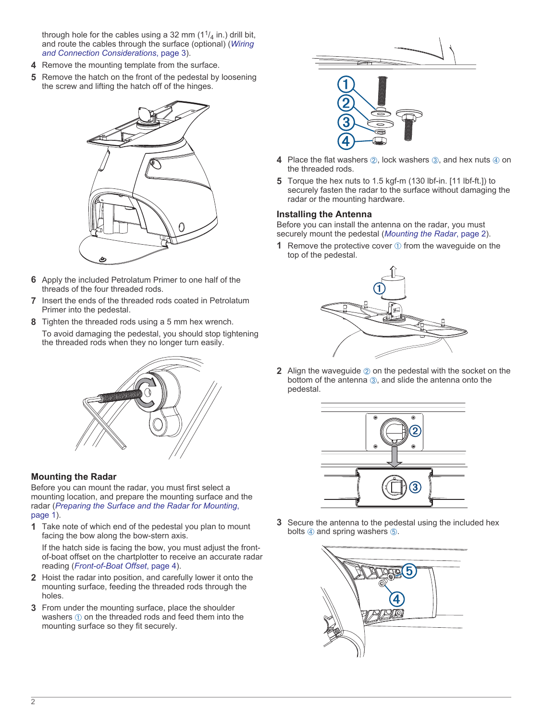through hole for the cables using a 32 mm  $(1<sup>1</sup>/4)$  in.) drill bit, and route the cables through the surface (optional) (*[Wiring](#page-2-0)  [and Connection Considerations](#page-2-0)*, page 3).

- **4** Remove the mounting template from the surface.
- **5** Remove the hatch on the front of the pedestal by loosening the screw and lifting the hatch off of the hinges.



- **6** Apply the included Petrolatum Primer to one half of the threads of the four threaded rods.
- **7** Insert the ends of the threaded rods coated in Petrolatum Primer into the pedestal.
- **8** Tighten the threaded rods using a 5 mm hex wrench. To avoid damaging the pedestal, you should stop tightening the threaded rods when they no longer turn easily.



### **Mounting the Radar**

Before you can mount the radar, you must first select a mounting location, and prepare the mounting surface and the radar (*[Preparing the Surface and the Radar for Mounting](#page-0-0)*, [page 1\)](#page-0-0).

**1** Take note of which end of the pedestal you plan to mount facing the bow along the bow-stern axis.

If the hatch side is facing the bow, you must adjust the frontof-boat offset on the chartplotter to receive an accurate radar reading (*[Front-of-Boat Offset](#page-3-0)*, page 4).

- **2** Hoist the radar into position, and carefully lower it onto the mounting surface, feeding the threaded rods through the holes.
- **3** From under the mounting surface, place the shoulder washers  $\circled{\scriptstyle 1}$  on the threaded rods and feed them into the mounting surface so they fit securely.



- **4** Place the flat washers  $\oslash$ , lock washers  $\oslash$ , and hex nuts  $\oslash$  on the threaded rods.
- **5** Torque the hex nuts to 1.5 kgf-m (130 lbf-in. [11 lbf-ft.]) to securely fasten the radar to the surface without damaging the radar or the mounting hardware.

### **Installing the Antenna**

Before you can install the antenna on the radar, you must securely mount the pedestal (*Mounting the Radar*, page 2).

**1** Remove the protective cover  $\theta$  from the waveguide on the top of the pedestal.



**2** Align the waveguide  $\oslash$  on the pedestal with the socket on the bottom of the antenna 3, and slide the antenna onto the pedestal.



**3** Secure the antenna to the pedestal using the included hex bolts  $\circledA$  and spring washers  $\circledB$ .

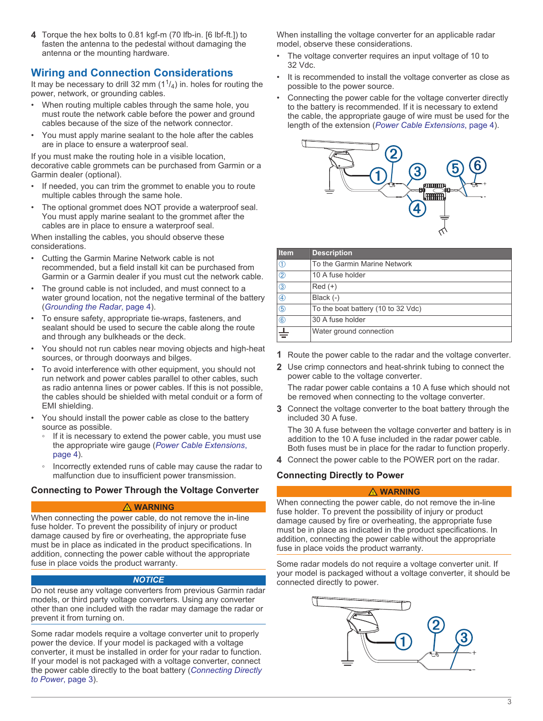<span id="page-2-0"></span>**4** Torque the hex bolts to 0.81 kgf-m (70 lfb-in. [6 lbf-ft.]) to fasten the antenna to the pedestal without damaging the antenna or the mounting hardware.

# **Wiring and Connection Considerations**

It may be necessary to drill 32 mm  $(1<sup>1</sup>/4)$  in. holes for routing the power, network, or grounding cables.

- When routing multiple cables through the same hole, you must route the network cable before the power and ground cables because of the size of the network connector.
- You must apply marine sealant to the hole after the cables are in place to ensure a waterproof seal.

If you must make the routing hole in a visible location, decorative cable grommets can be purchased from Garmin or a Garmin dealer (optional).

- If needed, you can trim the grommet to enable you to route multiple cables through the same hole.
- The optional grommet does NOT provide a waterproof seal. You must apply marine sealant to the grommet after the cables are in place to ensure a waterproof seal.

When installing the cables, you should observe these considerations.

- Cutting the Garmin Marine Network cable is not recommended, but a field install kit can be purchased from Garmin or a Garmin dealer if you must cut the network cable.
- The ground cable is not included, and must connect to a water ground location, not the negative terminal of the battery (*[Grounding the Radar](#page-3-0)*, page 4).
- To ensure safety, appropriate tie-wraps, fasteners, and sealant should be used to secure the cable along the route and through any bulkheads or the deck.
- You should not run cables near moving objects and high-heat sources, or through doorways and bilges.
- To avoid interference with other equipment, you should not run network and power cables parallel to other cables, such as radio antenna lines or power cables. If this is not possible, the cables should be shielded with metal conduit or a form of EMI shielding.
- You should install the power cable as close to the battery source as possible.
	- If it is necessary to extend the power cable, you must use the appropriate wire gauge (*[Power Cable Extensions](#page-3-0)*, [page 4\)](#page-3-0).
	- Incorrectly extended runs of cable may cause the radar to malfunction due to insufficient power transmission.

### **Connecting to Power Through the Voltage Converter**

#### **WARNING**

When connecting the power cable, do not remove the in-line fuse holder. To prevent the possibility of injury or product damage caused by fire or overheating, the appropriate fuse must be in place as indicated in the product specifications. In addition, connecting the power cable without the appropriate fuse in place voids the product warranty.

#### *NOTICE*

Do not reuse any voltage converters from previous Garmin radar models, or third party voltage converters. Using any converter other than one included with the radar may damage the radar or prevent it from turning on.

Some radar models require a voltage converter unit to properly power the device. If your model is packaged with a voltage converter, it must be installed in order for your radar to function. If your model is not packaged with a voltage converter, connect the power cable directly to the boat battery (*Connecting Directly to Power*, page 3).

When installing the voltage converter for an applicable radar model, observe these considerations.

- The voltage converter requires an input voltage of 10 to 32 Vdc.
- It is recommended to install the voltage converter as close as possible to the power source.
- Connecting the power cable for the voltage converter directly to the battery is recommended. If it is necessary to extend the cable, the appropriate gauge of wire must be used for the length of the extension (*[Power Cable Extensions](#page-3-0)*, page 4).



| <b>Item</b>    | <b>Description</b>                 |
|----------------|------------------------------------|
| $^\copyright$  | To the Garmin Marine Network       |
| $\circled{2}$  | 10 A fuse holder                   |
| $^{\circledR}$ | $Red (+)$                          |
| 4              | Black (-)                          |
| $\circledS$    | To the boat battery (10 to 32 Vdc) |
| $\circled6$    | 30 A fuse holder                   |
| ╧              | Water ground connection            |

- **1** Route the power cable to the radar and the voltage converter.
- **2** Use crimp connectors and heat-shrink tubing to connect the power cable to the voltage converter.

The radar power cable contains a 10 A fuse which should not be removed when connecting to the voltage converter.

**3** Connect the voltage converter to the boat battery through the included 30 A fuse.

The 30 A fuse between the voltage converter and battery is in addition to the 10 A fuse included in the radar power cable. Both fuses must be in place for the radar to function properly.

**4** Connect the power cable to the POWER port on the radar.

### **Connecting Directly to Power**

#### **WARNING**

When connecting the power cable, do not remove the in-line fuse holder. To prevent the possibility of injury or product damage caused by fire or overheating, the appropriate fuse must be in place as indicated in the product specifications. In addition, connecting the power cable without the appropriate fuse in place voids the product warranty.

Some radar models do not require a voltage converter unit. If your model is packaged without a voltage converter, it should be connected directly to power.

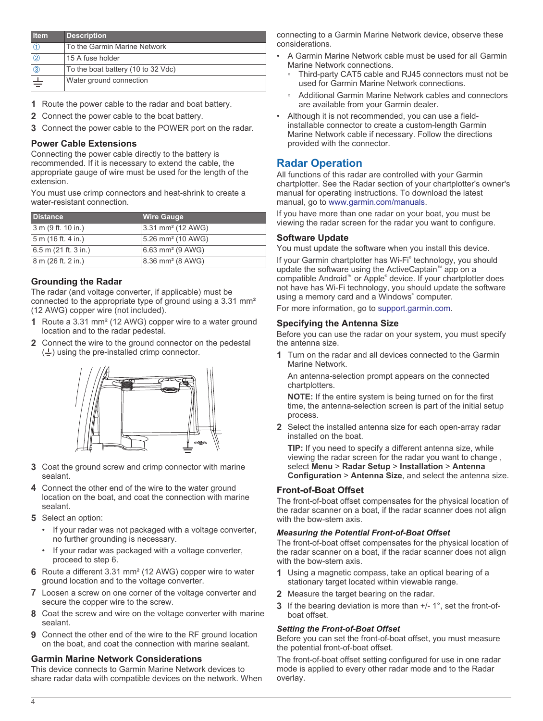<span id="page-3-0"></span>

| <b>Item</b>   | <b>Description</b>                 |
|---------------|------------------------------------|
|               | To the Garmin Marine Network       |
| $\circled{2}$ | 15 A fuse holder                   |
| 3             | To the boat battery (10 to 32 Vdc) |
|               | Water ground connection            |

- **1** Route the power cable to the radar and boat battery.
- **2** Connect the power cable to the boat battery.
- **3** Connect the power cable to the POWER port on the radar.

#### **Power Cable Extensions**

Connecting the power cable directly to the battery is recommended. If it is necessary to extend the cable, the appropriate gauge of wire must be used for the length of the extension.

You must use crimp connectors and heat-shrink to create a water-resistant connection.

| <b>Distance</b>        | <b>Wire Gauge</b>             |
|------------------------|-------------------------------|
| 3 m (9 ft. 10 in.)     | 3.31 mm <sup>2</sup> (12 AWG) |
| 5 m (16 ft. 4 in.)     | 5.26 mm <sup>2</sup> (10 AWG) |
| $6.5$ m (21 ft. 3 in.) | 6.63 mm <sup>2</sup> (9 AWG)  |
| 8 m (26 ft. 2 in.)     | 8.36 mm <sup>2</sup> (8 AWG)  |

### **Grounding the Radar**

The radar (and voltage converter, if applicable) must be connected to the appropriate type of ground using a 3.31 mm² (12 AWG) copper wire (not included).

- **1** Route a 3.31 mm² (12 AWG) copper wire to a water ground location and to the radar pedestal.
- **2** Connect the wire to the ground connector on the pedestal  $(\frac{1}{n})$  using the pre-installed crimp connector.



- **3** Coat the ground screw and crimp connector with marine sealant.
- **4** Connect the other end of the wire to the water ground location on the boat, and coat the connection with marine sealant.
- **5** Select an option:
	- If your radar was not packaged with a voltage converter, no further grounding is necessary.
	- If your radar was packaged with a voltage converter, proceed to step 6.
- **6** Route a different 3.31 mm² (12 AWG) copper wire to water ground location and to the voltage converter.
- **7** Loosen a screw on one corner of the voltage converter and secure the copper wire to the screw.
- **8** Coat the screw and wire on the voltage converter with marine sealant.
- **9** Connect the other end of the wire to the RF ground location on the boat, and coat the connection with marine sealant.

### **Garmin Marine Network Considerations**

This device connects to Garmin Marine Network devices to share radar data with compatible devices on the network. When

connecting to a Garmin Marine Network device, observe these considerations.

- A Garmin Marine Network cable must be used for all Garmin Marine Network connections.
	- Third-party CAT5 cable and RJ45 connectors must not be used for Garmin Marine Network connections.
	- Additional Garmin Marine Network cables and connectors are available from your Garmin dealer.
- Although it is not recommended, you can use a fieldinstallable connector to create a custom-length Garmin Marine Network cable if necessary. Follow the directions provided with the connector.

# **Radar Operation**

All functions of this radar are controlled with your Garmin chartplotter. See the Radar section of your chartplotter's owner's manual for operating instructions. To download the latest manual, go to [www.garmin.com/manuals](http://www.garmin.com/manuals).

If you have more than one radar on your boat, you must be viewing the radar screen for the radar you want to configure.

### **Software Update**

You must update the software when you install this device.

If your Garmin chartplotter has Wi-Fi® technology, you should update the software using the ActiveCaptain™ app on a compatible Android™ or Apple® device. If your chartplotter does not have has Wi‑Fi technology, you should update the software using a memory card and a Windows® computer.

For more information, go to [support.garmin.com](http://support.garmin.com).

### **Specifying the Antenna Size**

Before you can use the radar on your system, you must specify the antenna size.

**1** Turn on the radar and all devices connected to the Garmin Marine Network.

An antenna-selection prompt appears on the connected chartplotters.

**NOTE:** If the entire system is being turned on for the first time, the antenna-selection screen is part of the initial setup process.

**2** Select the installed antenna size for each open-array radar installed on the boat.

**TIP:** If you need to specify a different antenna size, while viewing the radar screen for the radar you want to change , select **Menu** > **Radar Setup** > **Installation** > **Antenna Configuration** > **Antenna Size**, and select the antenna size.

### **Front-of-Boat Offset**

The front-of-boat offset compensates for the physical location of the radar scanner on a boat, if the radar scanner does not align with the bow-stern axis.

#### *Measuring the Potential Front-of-Boat Offset*

The front-of-boat offset compensates for the physical location of the radar scanner on a boat, if the radar scanner does not align with the bow-stern axis.

- **1** Using a magnetic compass, take an optical bearing of a stationary target located within viewable range.
- **2** Measure the target bearing on the radar.
- **3** If the bearing deviation is more than +/- 1°, set the front-ofboat offset.

#### *Setting the Front-of-Boat Offset*

Before you can set the front-of-boat offset, you must measure the potential front-of-boat offset.

The front-of-boat offset setting configured for use in one radar mode is applied to every other radar mode and to the Radar overlay.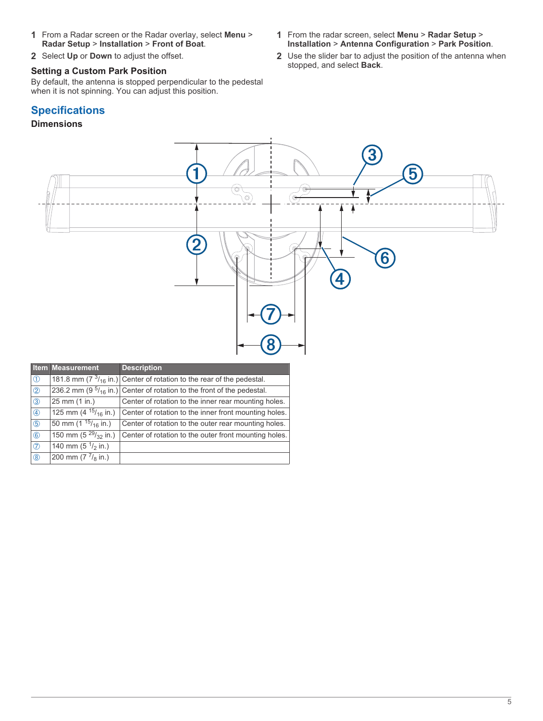- **1** From a Radar screen or the Radar overlay, select **Menu** > **Radar Setup** > **Installation** > **Front of Boat**.
- **2** Select **Up** or **Down** to adjust the offset.

# **Setting a Custom Park Position**

By default, the antenna is stopped perpendicular to the pedestal when it is not spinning. You can adjust this position.

# **Specifications**

# **Dimensions**

- **1** From the radar screen, select **Menu** > **Radar Setup** > **Installation** > **Antenna Configuration** > **Park Position**.
- **2** Use the slider bar to adjust the position of the antenna when stopped, and select **Back**.

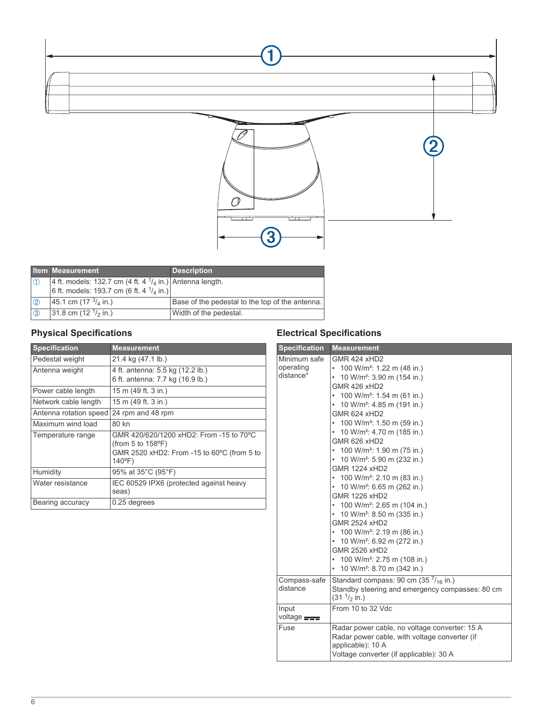



|                     | <b>Item Measurement</b>                                            | <b>Description</b>                              |
|---------------------|--------------------------------------------------------------------|-------------------------------------------------|
|                     | 4 ft. models: 132.7 cm (4 ft. 4 $\frac{1}{4}$ in.) Antenna length. |                                                 |
|                     | 6 ft. models: 193.7 cm (6 ft. 4 $\frac{1}{4}$ in.)                 |                                                 |
| $\langle 2 \rangle$ | 45.1 cm (17 $\frac{3}{4}$ in.)                                     | Base of the pedestal to the top of the antenna. |
| $\circ$             | 31.8 cm (12 $\frac{1}{2}$ in.)                                     | Width of the pedestal.                          |

# **Physical Specifications**

| <b>Specification</b>   | <b>Measurement</b>                                                                                                                       |
|------------------------|------------------------------------------------------------------------------------------------------------------------------------------|
| Pedestal weight        | 21.4 kg (47.1 lb.)                                                                                                                       |
| Antenna weight         | 4 ft. antenna: 5.5 kg (12.2 lb.)<br>6 ft. antenna: 7.7 kg (16.9 lb.)                                                                     |
| Power cable length     | 15 m (49 ft. 3 in.)                                                                                                                      |
| Network cable length   | 15 m (49 ft. 3 in.)                                                                                                                      |
| Antenna rotation speed | 24 rpm and 48 rpm                                                                                                                        |
| Maximum wind load      | 80 kn                                                                                                                                    |
| Temperature range      | GMR 420/620/1200 xHD2: From -15 to 70°C<br>(from 5 to $158^{\circ}$ F)<br>GMR 2520 xHD2: From -15 to 60°C (from 5 to<br>$140^{\circ}$ F) |
| Humidity               | 95% at 35°C (95°F)                                                                                                                       |
| Water resistance       | IEC 60529 IPX6 (protected against heavy<br>seas)                                                                                         |
| Bearing accuracy       | 0.25 degrees                                                                                                                             |

# **Electrical Specifications**

| <b>Specification</b>                   | <b>Measurement</b>                                                                                                                                                                                                                                                                                                                                                                                                                                                                                                                                                                                                                                                                                                                                                                                                                                                                                  |
|----------------------------------------|-----------------------------------------------------------------------------------------------------------------------------------------------------------------------------------------------------------------------------------------------------------------------------------------------------------------------------------------------------------------------------------------------------------------------------------------------------------------------------------------------------------------------------------------------------------------------------------------------------------------------------------------------------------------------------------------------------------------------------------------------------------------------------------------------------------------------------------------------------------------------------------------------------|
| Minimum safe<br>operating<br>distance* | <b>GMR 424 xHD2</b><br>100 W/m <sup>2</sup> : 1.22 m (48 in.)<br>10 W/m <sup>2</sup> : 3.90 m (154 in.)<br>۰<br><b>GMR 426 xHD2</b><br>100 W/m <sup>2</sup> : 1.54 m (61 in.)<br>$\bullet$<br>10 W/m <sup>2</sup> : 4.85 m (191 in.)<br>$\bullet$<br><b>GMR 624 xHD2</b><br>100 W/m <sup>2</sup> : 1.50 m (59 in.)<br>• 10 W/m <sup>2</sup> : 4.70 m (185 in.)<br>GMR 626 xHD2<br>• 100 W/m <sup>2</sup> : 1.90 m (75 in.)<br>• 10 W/m <sup>2</sup> : 5.90 m (232 in.)<br><b>GMR 1224 xHD2</b><br>• 100 W/m <sup>2</sup> : 2.10 m (83 in.)<br>• 10 W/m <sup>2</sup> : 6.65 m (262 in.)<br><b>GMR 1226 xHD2</b><br>• 100 W/m <sup>2</sup> : 2.65 m (104 in.)<br>10 W/m <sup>2</sup> : 8.50 m (335 in.)<br>$\bullet$<br><b>GMR 2524 xHD2</b><br>• 100 W/m <sup>2</sup> : 2.19 m (86 in.)<br>• 10 W/m <sup>2</sup> : 6.92 m (272 in.)<br>GMR 2526 xHD2<br>100 W/m <sup>2</sup> : 2.75 m (108 in.)<br>٠ |
| Compass-safe<br>distance               | 10 W/m <sup>2</sup> : 8.70 m (342 in.)<br>۰<br>Standard compass: 90 cm $(357/_{16})$ in.)<br>Standby steering and emergency compasses: 80 cm<br>(31 <sup>1</sup> / <sub>2</sub> in.)                                                                                                                                                                                                                                                                                                                                                                                                                                                                                                                                                                                                                                                                                                                |
| Input<br>voltage <b>FIFE</b>           | From 10 to 32 Vdc                                                                                                                                                                                                                                                                                                                                                                                                                                                                                                                                                                                                                                                                                                                                                                                                                                                                                   |
| Fuse                                   | Radar power cable, no voltage converter: 15 A<br>Radar power cable, with voltage converter (if<br>applicable): 10 A<br>Voltage converter (if applicable): 30 A                                                                                                                                                                                                                                                                                                                                                                                                                                                                                                                                                                                                                                                                                                                                      |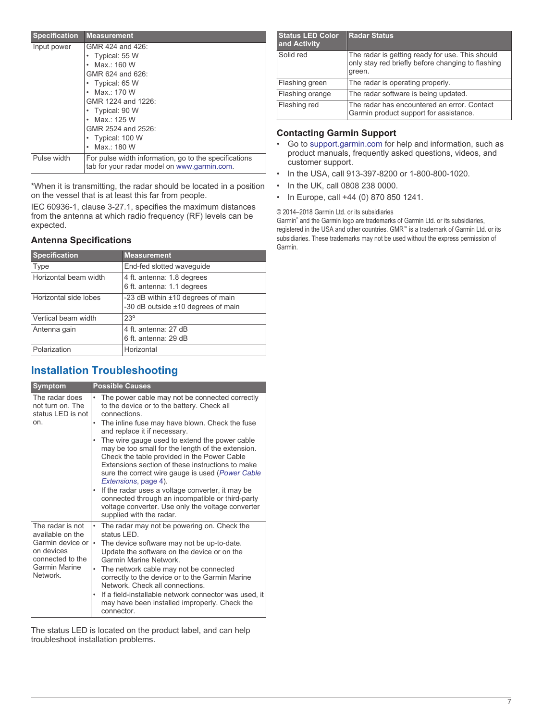| <b>Specification</b> | <b>Measurement</b>                                                                                   |
|----------------------|------------------------------------------------------------------------------------------------------|
| Input power          | GMR 424 and 426:                                                                                     |
|                      | Typical: 55 W                                                                                        |
|                      | Max:160W                                                                                             |
|                      | GMR 624 and 626:                                                                                     |
|                      | Typical: 65 W                                                                                        |
|                      | Max.: 170 W                                                                                          |
|                      | GMR 1224 and 1226:                                                                                   |
|                      | • Typical: 90 W                                                                                      |
|                      | Max : 125 W                                                                                          |
|                      | GMR 2524 and 2526:                                                                                   |
|                      | • Typical: 100 W                                                                                     |
|                      | Max.: 180 W                                                                                          |
| Pulse width          | For pulse width information, go to the specifications<br>tab for your radar model on www.garmin.com. |

\*When it is transmitting, the radar should be located in a position on the vessel that is at least this far from people.

IEC 60936-1, clause 3-27.1, specifies the maximum distances from the antenna at which radio frequency (RF) levels can be expected.

### **Antenna Specifications**

| <b>Specification</b>  | <b>Measurement</b>                                                      |
|-----------------------|-------------------------------------------------------------------------|
| Type                  | End-fed slotted wavequide                                               |
| Horizontal beam width | 4 ft. antenna: 1.8 degrees<br>6 ft. antenna: 1.1 degrees                |
| Horizontal side lobes | -23 dB within ±10 degrees of main<br>-30 dB outside ±10 degrees of main |
| Vertical beam width   | $23^\circ$                                                              |
| Antenna gain          | 4 ft. antenna: 27 dB<br>6 ft. antenna: 29 dB                            |
| Polarization          | Horizontal                                                              |

# **Installation Troubleshooting**

| <b>Symptom</b>                                                                                                            | <b>Possible Causes</b>                                                                                                                                                                                                                                                                                                                                                                                                                                                                                                                                                                                                                                                                                   |
|---------------------------------------------------------------------------------------------------------------------------|----------------------------------------------------------------------------------------------------------------------------------------------------------------------------------------------------------------------------------------------------------------------------------------------------------------------------------------------------------------------------------------------------------------------------------------------------------------------------------------------------------------------------------------------------------------------------------------------------------------------------------------------------------------------------------------------------------|
| The radar does<br>not turn on. The<br>status LED is not<br>on.                                                            | The power cable may not be connected correctly<br>to the device or to the battery. Check all<br>connections<br>The inline fuse may have blown. Check the fuse<br>and replace it if necessary.<br>The wire gauge used to extend the power cable<br>may be too small for the length of the extension.<br>Check the table provided in the Power Cable<br>Extensions section of these instructions to make<br>sure the correct wire gauge is used ( <i>Power Cable</i><br><i>Extensions</i> , page 4).<br>If the radar uses a voltage converter, it may be<br>$\bullet$<br>connected through an incompatible or third-party<br>voltage converter. Use only the voltage converter<br>supplied with the radar. |
| The radar is not<br>available on the<br>Garmin device or l<br>on devices<br>connected to the<br>Garmin Marine<br>Network. | • The radar may not be powering on. Check the<br>status I FD<br>The device software may not be up-to-date.<br>Update the software on the device or on the<br><b>Garmin Marine Network</b><br>The network cable may not be connected<br>correctly to the device or to the Garmin Marine<br>Network, Check all connections.<br>If a field-installable network connector was used, it<br>may have been installed improperly. Check the<br>connector.                                                                                                                                                                                                                                                        |

The status LED is located on the product label, and can help troubleshoot installation problems.

| <b>Status LED Color</b><br>and Activity | <b>Radar Status</b>                                                                                            |
|-----------------------------------------|----------------------------------------------------------------------------------------------------------------|
| Solid red                               | The radar is getting ready for use. This should<br>only stay red briefly before changing to flashing<br>green. |
| Flashing green                          | The radar is operating properly.                                                                               |
| Flashing orange                         | The radar software is being updated.                                                                           |
| Flashing red                            | The radar has encountered an error. Contact<br>Garmin product support for assistance.                          |

### **Contacting Garmin Support**

- Go to [support.garmin.com](http://support.garmin.com) for help and information, such as product manuals, frequently asked questions, videos, and customer support.
- In the USA, call 913-397-8200 or 1-800-800-1020.
- In the UK, call 0808 238 0000.
- In Europe, call +44 (0) 870 850 1241.

#### © 2014–2018 Garmin Ltd. or its subsidiaries

Garmin® and the Garmin logo are trademarks of Garmin Ltd. or its subsidiaries, registered in the USA and other countries. GMR™ is a trademark of Garmin Ltd. or its subsidiaries. These trademarks may not be used without the express permission of Garmin.